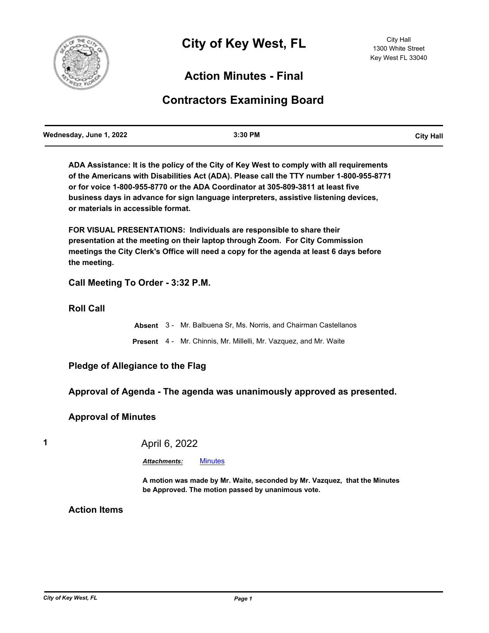

# **Action Minutes - Final**

# **Contractors Examining Board**

**ADA Assistance: It is the policy of the City of Key West to comply with all requirements of the Americans with Disabilities Act (ADA). Please call the TTY number 1-800-955-8771 or for voice 1-800-955-8770 or the ADA Coordinator at 305-809-3811 at least five business days in advance for sign language interpreters, assistive listening devices, or materials in accessible format.**

**FOR VISUAL PRESENTATIONS: Individuals are responsible to share their presentation at the meeting on their laptop through Zoom. For City Commission meetings the City Clerk's Office will need a copy for the agenda at least 6 days before the meeting.**

**Call Meeting To Order - 3:32 P.M.**

**Roll Call**

**Absent** 3 - Mr. Balbuena Sr, Ms. Norris, and Chairman Castellanos **Present** 4 - Mr. Chinnis, Mr. Millelli, Mr. Vazquez, and Mr. Waite

**Pledge of Allegiance to the Flag**

**Approval of Agenda - The agenda was unanimously approved as presented.**

**Approval of Minutes**

**1** April 6, 2022

*Attachments:* [Minutes](http://KeyWest.legistar.com/gateway.aspx?M=F&ID=53c786c4-8650-4b98-a145-8745a58bbfe4.pdf)

**A motion was made by Mr. Waite, seconded by Mr. Vazquez, that the Minutes be Approved. The motion passed by unanimous vote.**

**Action Items**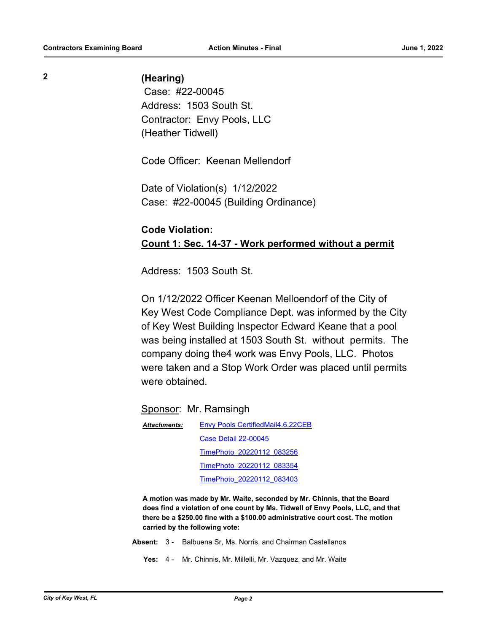### **2 (Hearing)**

 Case: #22-00045 Address: 1503 South St. Contractor: Envy Pools, LLC (Heather Tidwell)

Code Officer: Keenan Mellendorf

Date of Violation(s) 1/12/2022 Case: #22-00045 (Building Ordinance)

## **Code Violation: Count 1: Sec. 14-37 - Work performed without a permit**

Address: 1503 South St.

On 1/12/2022 Officer Keenan Melloendorf of the City of Key West Code Compliance Dept. was informed by the City of Key West Building Inspector Edward Keane that a pool was being installed at 1503 South St. without permits. The company doing the4 work was Envy Pools, LLC. Photos were taken and a Stop Work Order was placed until permits were obtained.

Sponsor: Mr. Ramsingh

[Envy Pools CertifiedMail4.6.22CEB](http://KeyWest.legistar.com/gateway.aspx?M=F&ID=9046852d-8d0b-442f-9624-e6012bbcc952.pdf) [Case Detail 22-00045](http://KeyWest.legistar.com/gateway.aspx?M=F&ID=469d8736-4dac-40e3-bc35-d31c62bd9f6a.pdf) [TimePhoto\\_20220112\\_083256](http://KeyWest.legistar.com/gateway.aspx?M=F&ID=ac59a8c7-dfad-49fa-a7bf-558b0c79d3e4.jpg) [TimePhoto\\_20220112\\_083354](http://KeyWest.legistar.com/gateway.aspx?M=F&ID=8b45f0aa-b51f-4975-b260-06cbb2f306b0.jpg) [TimePhoto\\_20220112\\_083403](http://KeyWest.legistar.com/gateway.aspx?M=F&ID=108d1152-9bce-4f8f-9138-6c5ff0b84453.jpg) *Attachments:*

**A motion was made by Mr. Waite, seconded by Mr. Chinnis, that the Board does find a violation of one count by Ms. Tidwell of Envy Pools, LLC, and that there be a \$250.00 fine with a \$100.00 administrative court cost. The motion carried by the following vote:**

- **Absent:** 3 Balbuena Sr, Ms. Norris, and Chairman Castellanos
	- **Yes:** 4 Mr. Chinnis, Mr. Millelli, Mr. Vazquez, and Mr. Waite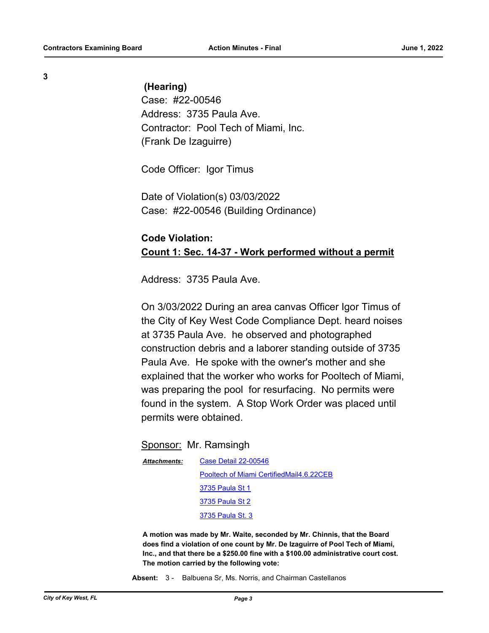**3**

#### **(Hearing)**

Case: #22-00546 Address: 3735 Paula Ave. Contractor: Pool Tech of Miami, Inc. (Frank De Izaguirre)

Code Officer: Igor Timus

Date of Violation(s) 03/03/2022 Case: #22-00546 (Building Ordinance)

## **Code Violation: Count 1: Sec. 14-37 - Work performed without a permit**

Address: 3735 Paula Ave.

On 3/03/2022 During an area canvas Officer Igor Timus of the City of Key West Code Compliance Dept. heard noises at 3735 Paula Ave. he observed and photographed construction debris and a laborer standing outside of 3735 Paula Ave. He spoke with the owner's mother and she explained that the worker who works for Pooltech of Miami, was preparing the pool for resurfacing. No permits were found in the system. A Stop Work Order was placed until permits were obtained.

#### Sponsor: Mr. Ramsingh

| Attachments: | Case Detail 22-00546                     |
|--------------|------------------------------------------|
|              | Pooltech of Miami CertifiedMail4.6.22CEB |
|              | 3735 Paula St 1                          |
|              | 3735 Paula St 2                          |
|              | 3735 Paula St. 3                         |

**A motion was made by Mr. Waite, seconded by Mr. Chinnis, that the Board does find a violation of one count by Mr. De Izaguirre of Pool Tech of Miami, Inc., and that there be a \$250.00 fine with a \$100.00 administrative court cost. The motion carried by the following vote:**

**Absent:** 3 - Balbuena Sr, Ms. Norris, and Chairman Castellanos